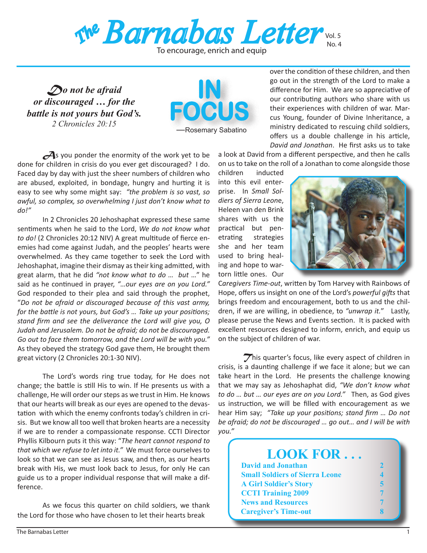

To encourage, enrich and equip

*Do not be afraid or discouraged … for the battle is not yours but God's. 2 Chronicles 20:15*



**A**s you ponder the enormity of the work yet to be done for children in crisis do you ever get discouraged? I do. Faced day by day with just the sheer numbers of children who are abused, exploited, in bondage, hungry and hurting it is easy to see why some might say: *"the problem is so vast, so awful, so complex, so overwhelming I just don't know what to do!"*

In 2 Chronicles 20 Jehoshaphat expressed these same sentiments when he said to the Lord, *We do not know what to do!* (2 Chronicles 20:12 NIV) A great multitude of fierce enemies had come against Judah, and the peoples' hearts were overwhelmed. As they came together to seek the Lord with Jehoshaphat, imagine their dismay as their king admitted, with great alarm, that he did *"not know what to do … but* …" he said as he continued in prayer, *"…our eyes are on you Lord."* God responded to their plea and said through the prophet, "*Do not be afraid or discouraged because of this vast army, for the battle is not yours, but God's … Take up your positions; stand firm and see the deliverance the Lord will give you, O Judah and Jerusalem. Do not be afraid; do not be discouraged. Go out to face them tomorrow, and the Lord will be with you."*  As they obeyed the strategy God gave them, He brought them great victory (2 Chronicles 20:1-30 NIV).

The Lord's words ring true today, for He does not change; the battle is still His to win. If He presents us with a challenge, He will order our steps as we trust in Him. He knows that our hearts will break as our eyes are opened to the devastation with which the enemy confronts today's children in crisis. But we know all too well that broken hearts are a necessity if we are to render a compassionate response. CCTI Director Phyllis Kilbourn puts it this way: "*The heart cannot respond to that which we refuse to let into it."* We must force ourselves to look so that we can see as Jesus saw, and then, as our hearts break with His, we must look back to Jesus, for only He can guide us to a proper individual response that will make a difference.

 As we focus this quarter on child soldiers, we thank the Lord for those who have chosen to let their hearts break

 over the condition of these children, and then go out in the strength of the Lord to make a difference for Him. We are so appreciative of our contributing authors who share with us their experiences with children of war. Marcus Young, founder of Divine Inheritance, a ministry dedicated to rescuing child soldiers, offers us a double challenge in his article, *David and Jonathan*. He first asks us to take

a look at David from a different perspective, and then he calls on usto take on the roll of a Jonathan to come alongside those

children inducted into this evil enterprise. In *Small Soldiers of Sierra Leon*e, Heleen van den Brink shares with us the practical but penetrating strategies she and her team used to bring healing and hope to wartorn little ones. Our



C*aregivers Time-out*, written by Tom Harvey with Rainbows of Hope, offers us insight on one of the Lord's *powerful gifts* that brings freedom and encouragement, both to us and the children, if we are willing, in obedience, to *"unwrap it.*" Lastly, please peruse the News and Events section. It is packed with excellent resources designed to inform, enrich, and equip us on the subject of children of war.

This quarter's focus, like every aspect of children in crisis, is a daunting challenge if we face it alone; but we can take heart in the Lord. He presents the challenge knowing that we may say as Jehoshaphat did, *"We don't know what to do … but … our eyes are on you Lord."* Then, as God gives us instruction, we will be filled with encouragement as we hear Him say; *"Take up your positions; stand firm … Do not be afraid; do not be discouraged … go out… and I will be with you."* 

| <b>LOOK FOR</b>                       |  |
|---------------------------------------|--|
| <b>David and Jonathan</b>             |  |
| <b>Small Soldiers of Sierra Leone</b> |  |
| <b>A Girl Soldier's Story</b>         |  |
| <b>CCTI Training 2009</b>             |  |
| <b>News and Resources</b>             |  |
| <b>Caregiver's Time-out</b>           |  |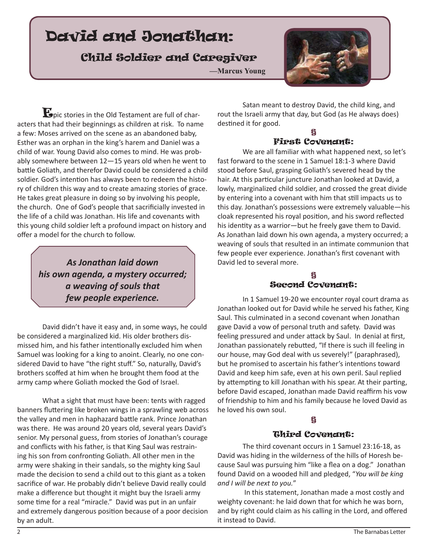# David and Jonathan:

# Child Soldier and Caregiver

**—Marcus Young**



**E**pic stories in the Old Testament are full of characters that had their beginnings as children at risk. To name a few: Moses arrived on the scene as an abandoned baby, Esther was an orphan in the king's harem and Daniel was a child of war. Young David also comes to mind. He was probably somewhere between 12—15 years old when he went to battle Goliath, and therefor David could be considered a child soldier. God's intention has always been to redeem the history of children this way and to create amazing stories of grace. He takes great pleasure in doing so by involving his people, the church. One of God's people that sacrificially invested in the life of a child was Jonathan. His life and covenants with this young child soldier left a profound impact on history and offer a model for the church to follow.

> *As Jonathan laid down his own agenda, a mystery occurred; a weaving of souls that few people experience.*

 David didn't have it easy and, in some ways, he could be considered a marginalized kid. His older brothers dismissed him, and his father intentionally excluded him when Samuel was looking for a king to anoint. Clearly, no one considered David to have "the right stuff." So, naturally, David's brothers scoffed at him when he brought them food at the army camp where Goliath mocked the God of Israel.

 What a sight that must have been: tents with ragged banners fluttering like broken wings in a sprawling web across the valley and men in haphazard battle rank. Prince Jonathan was there. He was around 20 years old, several years David's senior. My personal guess, from stories of Jonathan's courage and conflicts with his father, is that King Saul was restraining his son from confronting Goliath. All other men in the army were shaking in their sandals, so the mighty king Saul made the decision to send a child out to this giant as a token sacrifice of war. He probably didn't believe David really could make a difference but thought it might buy the Israeli army some time for a real "miracle." David was put in an unfair and extremely dangerous position because of a poor decision by an adult.

 Satan meant to destroy David, the child king, and rout the Israeli army that day, but God (as He always does) destined it for good.

## § First Covenant:

 We are all familiar with what happened next, so let's fast forward to the scene in 1 Samuel 18:1-3 where David stood before Saul, grasping Goliath's severed head by the hair. At this particular juncture Jonathan looked at David, a lowly, marginalized child soldier, and crossed the great divide by entering into a covenant with him that still impacts us to this day. Jonathan's possessions were extremely valuable—his cloak represented his royal position, and his sword reflected his identity as a warrior—but he freely gave them to David. As Jonathan laid down his own agenda, a mystery occurred; a weaving of souls that resulted in an intimate communion that few people ever experience. Jonathan's first covenant with David led to several more.

## § Second Covenant:

 In 1 Samuel 19-20 we encounter royal court drama as Jonathan looked out for David while he served his father, King Saul. This culminated in a second covenant when Jonathan gave David a vow of personal truth and safety. David was feeling pressured and under attack by Saul. In denial at first, Jonathan passionately rebutted, "If there is such ill feeling in our house, may God deal with us severely!" (paraphrased), but he promised to ascertain his father's intentions toward David and keep him safe, even at his own peril. Saul replied by attempting to kill Jonathan with his spear. At their parting, before David escaped, Jonathan made David reaffirm his vow of friendship to him and his family because he loved David as he loved his own soul.

# §

# Third Covenant:

 The third covenant occurs in 1 Samuel 23:16-18, as David was hiding in the wilderness of the hills of Horesh because Saul was pursuing him "like a flea on a dog." Jonathan found David on a wooded hill and pledged, "*You will be king and I will be next to you.*"

In this statement, Jonathan made a most costly and weighty covenant: he laid down that for which he was born, and by right could claim as his calling in the Lord, and offered it instead to David.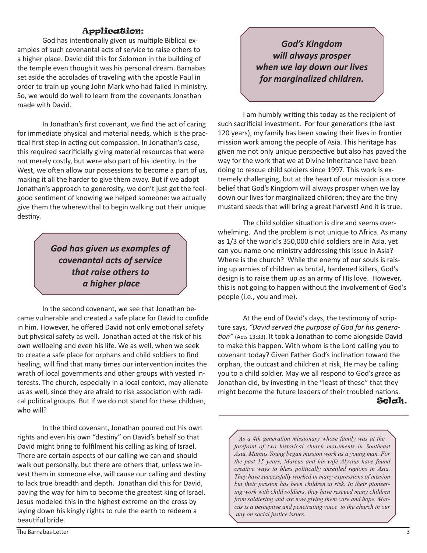# Application:

God has intentionally given us multiple Biblical examples of such covenantal acts of service to raise others to a higher place. David did this for Solomon in the building of the temple even though it was his personal dream. Barnabas set aside the accolades of traveling with the apostle Paul in order to train up young John Mark who had failed in ministry. So, we would do well to learn from the covenants Jonathan made with David.

In Jonathan's first covenant, we find the act of caring for immediate physical and material needs, which is the practical first step in acting out compassion. In Jonathan's case, this required sacrificially giving material resources that were not merely costly, but were also part of his identity. In the West, we often allow our possessions to become a part of us, making it all the harder to give them away. But if we adopt Jonathan's approach to generosity, we don't just get the feelgood sentiment of knowing we helped someone: we actually give them the wherewithal to begin walking out their unique destiny.

> *God has given us examples of covenantal acts of service that raise others to a higher place*

 In the second covenant, we see that Jonathan became vulnerable and created a safe place for David to confide in him. However, he offered David not only emotional safety but physical safety as well. Jonathan acted at the risk of his own wellbeing and even his life. We as well, when we seek to create a safe place for orphans and child soldiers to find healing, will find that many times our intervention incites the wrath of local governments and other groups with vested interests. The church, especially in a local context, may alienate us as well, since they are afraid to risk association with radical political groups. But if we do not stand for these children, who will? 

 In the third covenant, Jonathan poured out his own rights and even his own "destiny" on David's behalf so that David might bring to fulfilment his calling as king of Israel. There are certain aspects of our calling we can and should walk out personally, but there are others that, unless we invest them in someone else, will cause our calling and destiny to lack true breadth and depth. Jonathan did this for David, paving the way for him to become the greatest king of Israel. Jesus modeled this in the highest extreme on the cross by laying down his kingly rights to rule the earth to redeem a beautiful bride.

*God's Kingdom will always prosper when we lay down our lives for marginalized children.*

I am humbly writing this today as the recipient of such sacrificial investment. For four generations (the last 120 years), my family has been sowing their lives in frontier mission work among the people of Asia. This heritage has given me not only unique perspective but also has paved the way for the work that we at Divine Inheritance have been doing to rescue child soldiers since 1997. This work is extremely challenging, but at the heart of our mission is a core belief that God's Kingdom will always prosper when we lay down our lives for marginalized children; they are the tiny mustard seeds that will bring a great harvest! And it is true.

The child soldier situation is dire and seems overwhelming. And the problem is not unique to Africa. As many as 1/3 of the world's 350,000 child soldiers are in Asia, yet can you name one ministry addressing this issue in Asia? Where is the church? While the enemy of our souls is raising up armies of children as brutal, hardened killers, God's design is to raise them up as an army of His love. However, this is not going to happen without the involvement of God's people (i.e., you and me).

At the end of David's days, the testimony of scripture says, *"David served the purpose of God for his generation"* (Acts 13:33). It took a Jonathan to come alongside David to make this happen. With whom is the Lord calling you to covenant today? Given Father God's inclination toward the orphan, the outcast and children at risk, He may be calling you to a child soldier. May we all respond to God's grace as Jonathan did, by investing in the "least of these" that they might become the future leaders of their troubled nations. Selah.

*As a 4th generation missionary whose family was at the forefront of two historical church movements in Southeast Asia, Marcus Young began mission work as a young man. For the past 15 years, Marcus and his wife Alyxius have found creative ways to bless politically unsettled regions in Asia. They have successfully worked in many expressions of mission but their passion has been children at risk. In their pioneering work with child soldiers, they have rescued many children from soldiering and are now giving them care and hope. Marcus is a perceptive and penetrating voice to the church in our day on social justice issues.*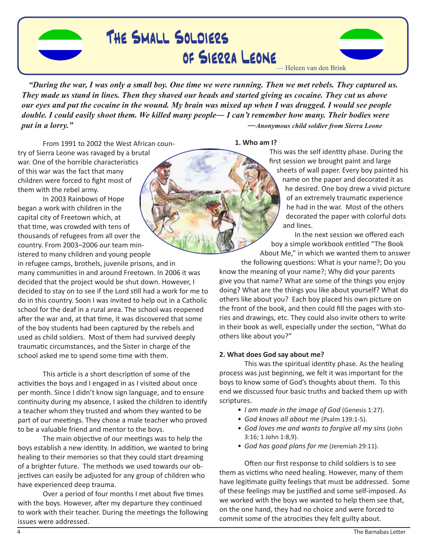

# The Small Soldiers of Sierra Leone



*"During the war, I was only a small boy. One time we were running. Then we met rebels. They captured us. They made us stand in lines. Then they shaved our heads and started giving us cocaine. They cut us above our eyes and put the cocaine in the wound. My brain was mixed up when I was drugged. I would see people double. I could easily shoot them. We killed many people― I can't remember how many. Their bodies were put in a lorry." ―Anonymous child soldier from Sierra Leone* 

**1. Who am I?**

From 1991 to 2002 the West African country of Sierra Leone was ravaged by a brutal war. One of the horrible characteristics of this war was the fact that many children were forced to fight most of them with the rebel army.

In 2003 Rainbows of Hope began a work with children in the capital city of Freetown which, at that time, was crowded with tens of thousands of refugees from all over the country. From 2003–2006 our team ministered to many children and young people in refugee camps, brothels, juvenile prisons, and in many communities in and around Freetown. In 2006 it was decided that the project would be shut down. However, I decided to stay on to see if the Lord still had a work for me to do in this country. Soon I was invited to help out in a Catholic school for the deaf in a rural area. The school was reopened after the war and, at that time, it was discovered that some of the boy students had been captured by the rebels and used as child soldiers. Most of them had survived deeply traumatic circumstances, and the Sister in charge of the school asked me to spend some time with them.

This article is a short description of some of the activities the boys and I engaged in as I visited about once per month. Since I didn't know sign language, and to ensure continuity during my absence, I asked the children to identify a teacher whom they trusted and whom they wanted to be part of our meetings. They chose a male teacher who proved to be a valuable friend and mentor to the boys.

The main objective of our meetings was to help the boys establish a new identity. In addition, we wanted to bring healing to their memories so that they could start dreaming of a brighter future. The methods we used towards our objectives can easily be adjusted for any group of children who have experienced deep trauma.

Over a period of four months I met about five times with the boys. However, after my departure they continued to work with their teacher. During the meetings the following issues were addressed.

This was the self identity phase. During the first session we brought paint and large sheets of wall paper. Every boy painted his name on the paper and decorated it as he desired. One boy drew a vivid picture of an extremely traumatic experience he had in the war. Most of the others decorated the paper with colorful dots and lines.

In the next session we offered each boy a simple workbook entitled "The Book About Me," in which we wanted them to answer

the following questions: What is your name?; Do you know the meaning of your name?; Why did your parents give you that name? What are some of the things you enjoy doing? What are the things you like about yourself? What do others like about you? Each boy placed his own picture on the front of the book, and then could fill the pages with stories and drawings, etc. They could also invite others to write in their book as well, especially under the section, "What do others like about you?"

## **2. What does God say about me?**

This was the spiritual identity phase. As the healing process was just beginning, we felt it was important for the boys to know some of God's thoughts about them. To this end we discussed four basic truths and backed them up with scriptures.

- I am made in the image of God (Genesis 1:27).
- *God knows all about me* (Psalm 139:1-5). *•*
- *God loves me and wants to forgive all my sins* (John *•* 3:16; 1 John 1:8,9).
- *God has good plans for me* (Jeremiah 29:11). *•*

Often our first response to child soldiers is to see them as victims who need healing. However, many of them have legitimate guilty feelings that must be addressed. Some of these feelings may be justified and some self-imposed. As we worked with the boys we wanted to help them see that, on the one hand, they had no choice and were forced to commit some of the atrocities they felt guilty about.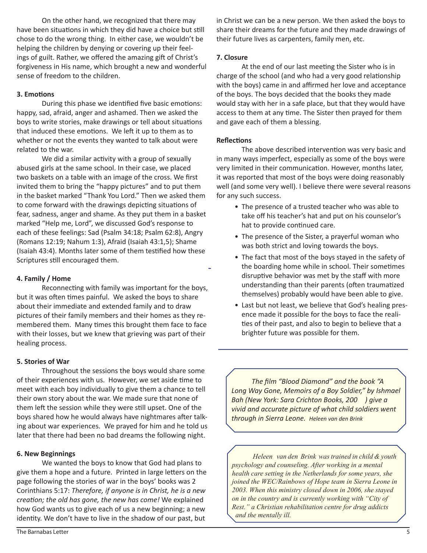On the other hand, we recognized that there may have been situations in which they did have a choice but still chose to do the wrong thing. In either case, we wouldn't be helping the children by denying or covering up their feelings of guilt. Rather, we offered the amazing gift of Christ's forgiveness in His name, which brought a new and wonderful sense of freedom to the children.

## **3. Emotions**

During this phase we identified five basic emotions: happy, sad, afraid, anger and ashamed. Then we asked the boys to write stories, make drawings or tell about situations that induced these emotions. We left it up to them as to whether or not the events they wanted to talk about were related to the war.

We did a similar activity with a group of sexually abused girls at the same school. In their case, we placed two baskets on a table with an image of the cross. We first invited them to bring the "happy pictures" and to put them in the basket marked "Thank You Lord." Then we asked them to come forward with the drawings depicting situations of fear, sadness, anger and shame. As they put them in a basket marked "Help me, Lord", we discussed God's response to each of these feelings: Sad (Psalm 34:18; Psalm 62:8), Angry (Romans 12:19; Nahum 1:3), Afraid (Isaiah 43:1,5); Shame (Isaiah 43:4). Months later some of them testified how these Scriptures still encouraged them.

### **4. Family / Home**

Reconnecting with family was important for the boys, but it was often times painful. We asked the boys to share about their immediate and extended family and to draw pictures of their family members and their homes as they remembered them. Many times this brought them face to face with their losses, but we knew that grieving was part of their healing process.

#### **5. Stories of War**

Throughout the sessions the boys would share some of their experiences with us. However, we set aside time to meet with each boy individually to give them a chance to tell their own story about the war. We made sure that none of them left the session while they were still upset. One of the boys shared how he would always have nightmares after talking about war experiences. We prayed for him and he told us later that there had been no bad dreams the following night.

#### **6. New Beginnings**

We wanted the boys to know that God had plans to give them a hope and a future. Printed in large letters on the page following the stories of war in the boys' books was 2 Corinthians 5:17: *Therefore, if anyone is in Christ, he is a new creation; the old has gone, the new has come!* We explained how God wants us to give each of us a new beginning; a new identity. We don't have to live in the shadow of our past, but

in Christ we can be a new person. We then asked the boys to share their dreams for the future and they made drawings of their future lives as carpenters, family men, etc.

### **7. Closure**

At the end of our last meeting the Sister who is in charge of the school (and who had a very good relationship with the boys) came in and affirmed her love and acceptance of the boys. The boys decided that the books they made would stay with her in a safe place, but that they would have access to them at any time. The Sister then prayed for them and gave each of them a blessing.

### **Reflections**

The above described intervention was very basic and in many ways imperfect, especially as some of the boys were very limited in their communication. However, months later, it was reported that most of the boys were doing reasonably well (and some very well). I believe there were several reasons for any such success.

- The presence of a trusted teacher who was able to take off his teacher's hat and put on his counselor's hat to provide continued care.
- The presence of the Sister, a prayerful woman who was both strict and loving towards the boys.
- The fact that most of the boys stayed in the safety of the boarding home while in school. Their sometimes disruptive behavior was met by the staff with more understanding than their parents (often traumatized themselves) probably would have been able to give.
- Last but not least, we believe that God's healing presence made it possible for the boys to face the realities of their past, and also to begin to believe that a brighter future was possible for them.

*The film "Blood Diamond" and the book "A Long Way Gone, Memoirs of a Boy Soldier," by Ishmael Bah* (New York: Sara Crichton Books, 200 ) give a *Nivid and accurate picture of what child soldiers went*  $$ 

 *Heleen van den Brink wastrained in child & youth psychology and counseling. After working in a mental health care setting in the Netherlands for some years, she joined the WEC/Rainbows of Hope team in Sierra Leone in 2003. When this ministry closed down in 2006, she stayed on in the country and is currently working with "City of Rest." a Christian rehabilitation centre for drug addicts and the mentally ill.*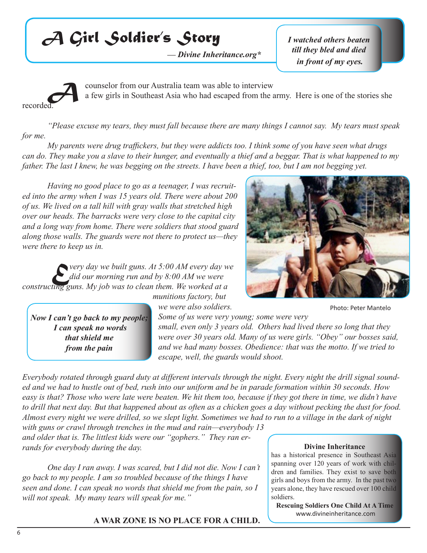# *A Girl Soldier's Story*

*— Divine Inheritance.org\** 

*I watched others beaten till they bled and died in front of my eyes.* 



**A** counselor from our Australia team was able to interview a few girls in Southeast Asia who had escaped from the a a few girls in Southeast Asia who had escaped from the army. Here is one of the stories she

*"Please excuse my tears, they must fall because there are many things I cannot say. My tears must speak for me.* 

*My parents were drug traffickers, but they were addicts too. I think some of you have seen what drugs can do. They make you a slave to their hunger, and eventually a thief and a beggar. That is what happened to my father. The last I knew, he was begging on the streets. I have been a thief, too, but I am not begging yet.*

*Having no good place to go as a teenager, I was recruited into the army when I was 15 years old. There were about 200 of us. We lived on a tall hill with gray walls that stretched high over our heads. The barracks were very close to the capital city and a long way from home. There were soldiers that stood guard along those walls. The guards were not there to protect us—they were there to keep us in.*

**E** *Pery day we built guns. At 5:00 AM every day we did our morning run and by 8:00 AM we were*  $\frac{d}{dx}$  *E Every mus. My job was to clean them. We worked at a did our morning run and by 8:00 AM we were constructing guns. My job was to clean them. We worked at a* 

*Now I can't go back to my people; I can speak no words that shield me from the pain* 

*munitions factory, but* 

*we were also soldiers.* 

*Some of us were very young; some were very small, even only 3 years old. Others had lived there so long that they were over 30 years old. Many of us were girls. "Obey" our bosses said, and we had many bosses. Obedience: that was the motto. If we tried to escape, well, the guards would shoot.* 

*Everybody rotated through guard duty at different intervals through the night. Every night the drill signal sounded and we had to hustle out of bed, rush into our uniform and be in parade formation within 30 seconds. How easy is that? Those who were late were beaten. We hit them too, because if they got there in time, we didn't have to drill that next day. But that happened about as often as a chicken goes a day without pecking the dust for food. Almost every night we were drilled, so we slept light. Sometimes we had to run to a village in the dark of night* 

*with guns or crawl through trenches in the mud and rain—everybody 13 and older that is. The littlest kids were our "gophers." They ran errands for everybody during the day.*

*One day I ran away. I was scared, but I did not die. Now I can't go back to my people. I am so troubled because of the things I have seen and done. I can speak no words that shield me from the pain, so I will not speak. My many tears will speak for me."*

# **A WAR ZONE IS NO PLACE FOR A CHILD.**



Photo: Peter Mantelo

#### **Divine Inheritance**

has a historical presence in Southeast Asia spanning over 120 years of work with children and families. They exist to save both girls and boys from the army. In the past two years alone, they have rescued over 100 child soldiers.

**Rescuing Soldiers One Child At A Time** www.divineinheritance.com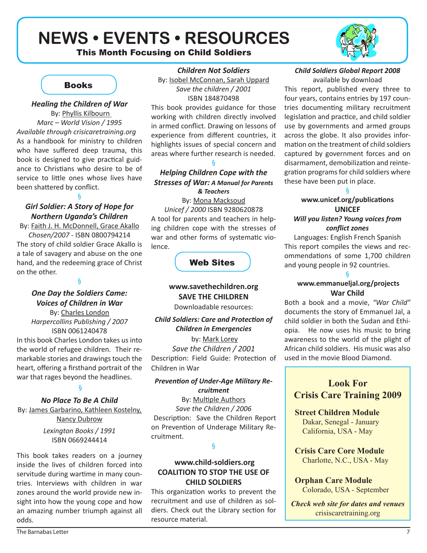# **NEWS • EVENTS • RESOURCES**





# **Books**

## *Healing the Children of War*  By: Phyllis Kilbourn *Marc – World Vision / 1995 Available through crisicaretraining.org* As a handbook for ministry to children who have suffered deep trauma, this book is designed to give practical guidance to Christians who desire to be of service to little ones whose lives have

# § *Girl Soldier: A Story of Hope for Northern Uganda's Children*

been shattered by conflict.

By: Faith J. H. McDonnell, Grace Akallo *Chosen/2007* - ISBN 0800794214 The story of child soldier Grace Akallo is a tale of savagery and abuse on the one hand, and the redeeming grace of Christ on the other.

§

# *One Day the Soldiers Came: Voices of Children in War*

By: Charles London *Harpercollins Publishing / 2007*  ISBN 0061240478 In this book Charles London takes us into

the world of refugee children. Their remarkable stories and drawings touch the heart, offering a firsthand portrait of the war that rages beyond the headlines.

## §

*No Place To Be A Child* By: James Garbarino, Kathleen Kostelny, Nancy Dubrow

> *Lexington Books / 1991* ISBN 0669244414

This book takes readers on a journey inside the lives of children forced into servitude during wartime in many countries. Interviews with children in war zones around the world provide new insight into how the young cope and how an amazing number triumph against all odds.

*Children Not Soldiers*

By: Isobel McConnan, Sarah Uppard *Save the children / 2001* ISBN 184870498

This book provides guidance for those working with children directly involved in armed conflict. Drawing on lessons of experience from different countries, it highlights issues of special concern and areas where further research is needed.

## *Helping Children Cope with the Stresses of War: A Manual for Parents & Teachers*

§

By: Mona Macksoud *Unicef / 2000* ISBN 9280620878 A tool for parents and teachers in helping children cope with the stresses of war and other forms of systematic violence.



**www.savethechildren.org SAVE THE CHILDREN**

Downloadable resources:

## *Child Soldiers: Care and Protection of Children in Emergencies*

by: Mark Lorey *Save the Children / 2001* Description: Field Guide: Protection of Children in War

## *Prevention of Under-Age Military Recruitment*

By: Multiple Authors *Save the Children / 2006* Description: Save the Children Report on Prevention of Underage Military Recruitment.

## §

## **www.child-soldiers.org COALITION TO STOP THE USE OF CHILD SOLDIERS**

This organization works to prevent the recruitment and use of children as soldiers. Check out the Library section for resource material.

## *Child Soldiers Global Report 2008*  available by download

This report, published every three to four years, contains entries by 197 countries documenting military recruitment legislation and practice, and child soldier use by governments and armed groups across the globe. It also provides information on the treatment of child soldiers captured by government forces and on disarmament, demobilization and reintegration programs for child soldiers where these have been put in place.

## § **www.unicef.org/publications UNICEF**

## *Will you listen? Young voices from conflict zones*

Languages: English French Spanish This report compiles the views and recommendations of some 1,700 children and young people in 92 countries.

## §  **www.emmanueljal.org/projects War Child**

Both a book and a movie, *"War Child"* documents the story of Emmanuel Jal, a child soldier in both the Sudan and Ethiopia. He now uses his music to bring awareness to the world of the plight of African child soldiers. His music was also used in the movie Blood Diamond.

# **Look For Crisis Care Training 2009**

## **Street Children Module** Dakar, Senegal - January

California, USA - May

**Crisis Care Core Module** Charlotte, N.C., USA - May

**Orphan Care Module** Colorado, USA - September

*Check web site for dates and venues* crisiscaretraining.org